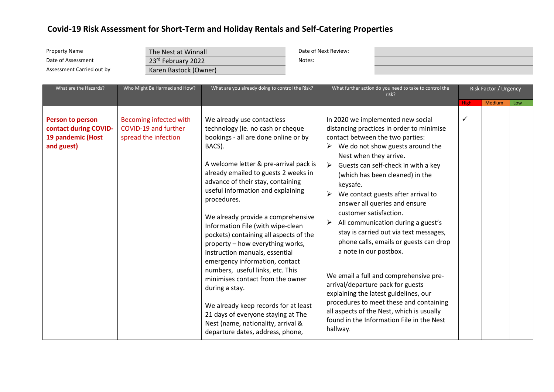| <b>Property Name</b><br>Date of Assessment<br>Assessment Carried out by<br>What are the Hazards? | The Nest at Winnall<br>23rd February 2022<br>Karen Bastock (Owner)<br>Who Might Be Harmed and How?<br>What are you already doing to control the Risk? |                                                                                                                                                                                                                                                                                                                                                                                                                                                                                                                                                                                                                                                                                                                                                                             | Date of Next Review:<br>Notes:<br>What further action do you need to take to control the |                                                                                                                                       | Risk Factor / Urgency                                                                                                                                                                                                                                                                                                                                                                                                                                                                                                                                                                                                                                                                          |                  |               |     |
|--------------------------------------------------------------------------------------------------|-------------------------------------------------------------------------------------------------------------------------------------------------------|-----------------------------------------------------------------------------------------------------------------------------------------------------------------------------------------------------------------------------------------------------------------------------------------------------------------------------------------------------------------------------------------------------------------------------------------------------------------------------------------------------------------------------------------------------------------------------------------------------------------------------------------------------------------------------------------------------------------------------------------------------------------------------|------------------------------------------------------------------------------------------|---------------------------------------------------------------------------------------------------------------------------------------|------------------------------------------------------------------------------------------------------------------------------------------------------------------------------------------------------------------------------------------------------------------------------------------------------------------------------------------------------------------------------------------------------------------------------------------------------------------------------------------------------------------------------------------------------------------------------------------------------------------------------------------------------------------------------------------------|------------------|---------------|-----|
|                                                                                                  |                                                                                                                                                       |                                                                                                                                                                                                                                                                                                                                                                                                                                                                                                                                                                                                                                                                                                                                                                             |                                                                                          |                                                                                                                                       | risk?                                                                                                                                                                                                                                                                                                                                                                                                                                                                                                                                                                                                                                                                                          |                  |               |     |
| <b>Person to person</b><br>contact during COVID-<br>19 pandemic (Host<br>and guest)              | Becoming infected with<br>COVID-19 and further<br>spread the infection                                                                                | We already use contactless<br>technology (ie. no cash or cheque<br>bookings - all are done online or by<br>BACS).<br>A welcome letter & pre-arrival pack is<br>already emailed to guests 2 weeks in<br>advance of their stay, containing<br>useful information and explaining<br>procedures.<br>We already provide a comprehensive<br>Information File (with wipe-clean<br>pockets) containing all aspects of the<br>property - how everything works,<br>instruction manuals, essential<br>emergency information, contact<br>numbers, useful links, etc. This<br>minimises contact from the owner<br>during a stay.<br>We already keep records for at least<br>21 days of everyone staying at The<br>Nest (name, nationality, arrival &<br>departure dates, address, phone, |                                                                                          | Nest when they arrive.<br>➤<br>keysafe.<br>➤<br>customer satisfaction.<br>$\blacktriangleright$<br>a note in our postbox.<br>hallway. | In 2020 we implemented new social<br>distancing practices in order to minimise<br>contact between the two parties:<br>We do not show guests around the<br>Guests can self-check in with a key<br>(which has been cleaned) in the<br>We contact guests after arrival to<br>answer all queries and ensure<br>All communication during a guest's<br>stay is carried out via text messages,<br>phone calls, emails or guests can drop<br>We email a full and comprehensive pre-<br>arrival/departure pack for guests<br>explaining the latest guidelines, our<br>procedures to meet these and containing<br>all aspects of the Nest, which is usually<br>found in the Information File in the Nest | <b>High</b><br>✓ | <b>Medium</b> | Low |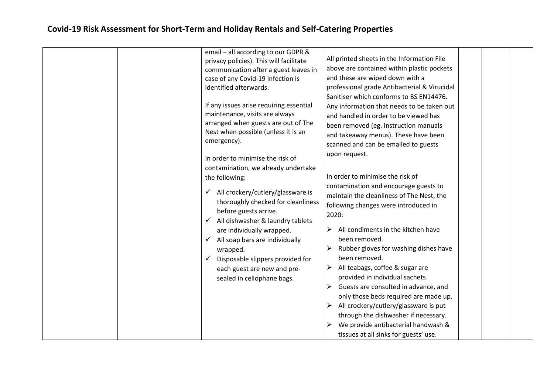| email - all according to our GDPR &<br>privacy policies). This will facilitate<br>communication after a guest leaves in<br>case of any Covid-19 infection is<br>identified afterwards.<br>If any issues arise requiring essential<br>maintenance, visits are always<br>arranged when guests are out of The<br>Nest when possible (unless it is an<br>emergency).<br>In order to minimise the risk of<br>contamination, we already undertake<br>the following:<br>All crockery/cutlery/glassware is<br>✓<br>thoroughly checked for cleanliness<br>before guests arrive.<br>All dishwasher & laundry tablets<br>are individually wrapped.<br>All soap bars are individually<br>✓<br>wrapped.<br>Disposable slippers provided for<br>each guest are new and pre-<br>sealed in cellophane bags. | All printed sheets in the Information File<br>above are contained within plastic pockets<br>and these are wiped down with a<br>professional grade Antibacterial & Virucidal<br>Sanitiser which conforms to BS EN14476.<br>Any information that needs to be taken out<br>and handled in order to be viewed has<br>been removed (eg. Instruction manuals<br>and takeaway menus). These have been<br>scanned and can be emailed to guests<br>upon request.<br>In order to minimise the risk of<br>contamination and encourage guests to<br>maintain the cleanliness of The Nest, the<br>following changes were introduced in<br>2020:<br>All condiments in the kitchen have<br>been removed.<br>Rubber gloves for washing dishes have<br>been removed.<br>All teabags, coffee & sugar are<br>➤<br>provided in individual sachets.<br>Guests are consulted in advance, and<br>only those beds required are made up.<br>All crockery/cutlery/glassware is put<br>➤<br>through the dishwasher if necessary.<br>We provide antibacterial handwash &<br>tissues at all sinks for guests' use. |  |
|---------------------------------------------------------------------------------------------------------------------------------------------------------------------------------------------------------------------------------------------------------------------------------------------------------------------------------------------------------------------------------------------------------------------------------------------------------------------------------------------------------------------------------------------------------------------------------------------------------------------------------------------------------------------------------------------------------------------------------------------------------------------------------------------|---------------------------------------------------------------------------------------------------------------------------------------------------------------------------------------------------------------------------------------------------------------------------------------------------------------------------------------------------------------------------------------------------------------------------------------------------------------------------------------------------------------------------------------------------------------------------------------------------------------------------------------------------------------------------------------------------------------------------------------------------------------------------------------------------------------------------------------------------------------------------------------------------------------------------------------------------------------------------------------------------------------------------------------------------------------------------------------|--|
|---------------------------------------------------------------------------------------------------------------------------------------------------------------------------------------------------------------------------------------------------------------------------------------------------------------------------------------------------------------------------------------------------------------------------------------------------------------------------------------------------------------------------------------------------------------------------------------------------------------------------------------------------------------------------------------------------------------------------------------------------------------------------------------------|---------------------------------------------------------------------------------------------------------------------------------------------------------------------------------------------------------------------------------------------------------------------------------------------------------------------------------------------------------------------------------------------------------------------------------------------------------------------------------------------------------------------------------------------------------------------------------------------------------------------------------------------------------------------------------------------------------------------------------------------------------------------------------------------------------------------------------------------------------------------------------------------------------------------------------------------------------------------------------------------------------------------------------------------------------------------------------------|--|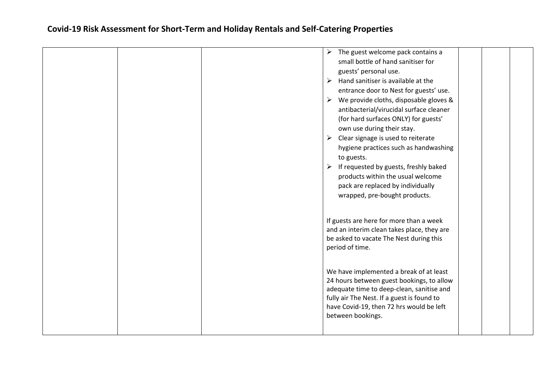|  | The guest welcome pack contains a<br>➤<br>small bottle of hand sanitiser for<br>guests' personal use.<br>Hand sanitiser is available at the<br>➤<br>entrance door to Nest for guests' use.<br>$\triangleright$ We provide cloths, disposable gloves &<br>antibacterial/virucidal surface cleaner<br>(for hard surfaces ONLY) for guests'<br>own use during their stay.<br>$\triangleright$ Clear signage is used to reiterate<br>hygiene practices such as handwashing<br>to guests.<br>If requested by guests, freshly baked<br>➤<br>products within the usual welcome<br>pack are replaced by individually<br>wrapped, pre-bought products. |  |
|--|-----------------------------------------------------------------------------------------------------------------------------------------------------------------------------------------------------------------------------------------------------------------------------------------------------------------------------------------------------------------------------------------------------------------------------------------------------------------------------------------------------------------------------------------------------------------------------------------------------------------------------------------------|--|
|  | If guests are here for more than a week<br>and an interim clean takes place, they are<br>be asked to vacate The Nest during this<br>period of time.                                                                                                                                                                                                                                                                                                                                                                                                                                                                                           |  |
|  | We have implemented a break of at least<br>24 hours between guest bookings, to allow<br>adequate time to deep-clean, sanitise and<br>fully air The Nest. If a guest is found to<br>have Covid-19, then 72 hrs would be left<br>between bookings.                                                                                                                                                                                                                                                                                                                                                                                              |  |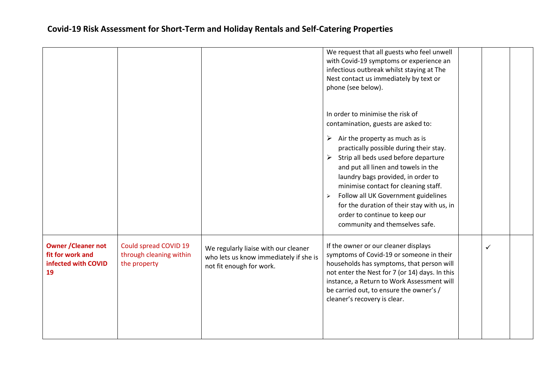|                                                                             |                                                                  |                                                                                                            | We request that all guests who feel unwell<br>with Covid-19 symptoms or experience an<br>infectious outbreak whilst staying at The<br>Nest contact us immediately by text or<br>phone (see below).                                                                                                                                                                                                                                                                                                                                   |              |  |
|-----------------------------------------------------------------------------|------------------------------------------------------------------|------------------------------------------------------------------------------------------------------------|--------------------------------------------------------------------------------------------------------------------------------------------------------------------------------------------------------------------------------------------------------------------------------------------------------------------------------------------------------------------------------------------------------------------------------------------------------------------------------------------------------------------------------------|--------------|--|
|                                                                             |                                                                  |                                                                                                            | In order to minimise the risk of<br>contamination, guests are asked to:<br>$\triangleright$ Air the property as much as is<br>practically possible during their stay.<br>$\triangleright$ Strip all beds used before departure<br>and put all linen and towels in the<br>laundry bags provided, in order to<br>minimise contact for cleaning staff.<br>Follow all UK Government guidelines<br>$\blacktriangleright$<br>for the duration of their stay with us, in<br>order to continue to keep our<br>community and themselves safe. |              |  |
| <b>Owner / Cleaner not</b><br>fit for work and<br>infected with COVID<br>19 | Could spread COVID 19<br>through cleaning within<br>the property | We regularly liaise with our cleaner<br>who lets us know immediately if she is<br>not fit enough for work. | If the owner or our cleaner displays<br>symptoms of Covid-19 or someone in their<br>households has symptoms, that person will<br>not enter the Nest for 7 (or 14) days. In this<br>instance, a Return to Work Assessment will<br>be carried out, to ensure the owner's /<br>cleaner's recovery is clear.                                                                                                                                                                                                                             | $\checkmark$ |  |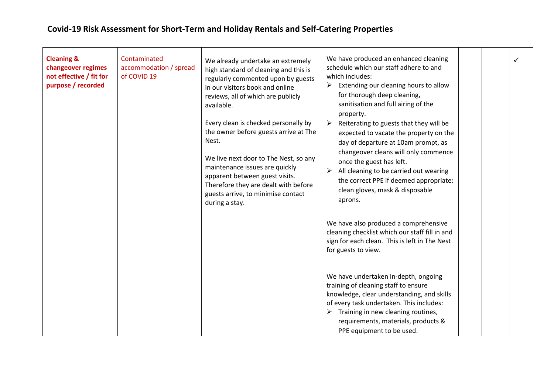| <b>Cleaning &amp;</b><br>changeover regimes<br>not effective / fit for<br>purpose / recorded | Contaminated<br>accommodation / spread<br>of COVID 19 | We already undertake an extremely<br>high standard of cleaning and this is<br>regularly commented upon by guests<br>in our visitors book and online<br>reviews, all of which are publicly<br>available.<br>Every clean is checked personally by<br>the owner before guests arrive at The<br>Nest.<br>We live next door to The Nest, so any<br>maintenance issues are quickly<br>apparent between guest visits.<br>Therefore they are dealt with before<br>guests arrive, to minimise contact<br>during a stay. | We have produced an enhanced cleaning<br>schedule which our staff adhere to and<br>which includes:<br>Extending our cleaning hours to allow<br>➤<br>for thorough deep cleaning,<br>sanitisation and full airing of the<br>property.<br>Reiterating to guests that they will be<br>expected to vacate the property on the<br>day of departure at 10am prompt, as<br>changeover cleans will only commence<br>once the guest has left.<br>All cleaning to be carried out wearing<br>the correct PPE if deemed appropriate:<br>clean gloves, mask & disposable<br>aprons. |  | ✓ |
|----------------------------------------------------------------------------------------------|-------------------------------------------------------|----------------------------------------------------------------------------------------------------------------------------------------------------------------------------------------------------------------------------------------------------------------------------------------------------------------------------------------------------------------------------------------------------------------------------------------------------------------------------------------------------------------|-----------------------------------------------------------------------------------------------------------------------------------------------------------------------------------------------------------------------------------------------------------------------------------------------------------------------------------------------------------------------------------------------------------------------------------------------------------------------------------------------------------------------------------------------------------------------|--|---|
|                                                                                              |                                                       |                                                                                                                                                                                                                                                                                                                                                                                                                                                                                                                | We have also produced a comprehensive<br>cleaning checklist which our staff fill in and<br>sign for each clean. This is left in The Nest<br>for guests to view.                                                                                                                                                                                                                                                                                                                                                                                                       |  |   |
|                                                                                              |                                                       |                                                                                                                                                                                                                                                                                                                                                                                                                                                                                                                | We have undertaken in-depth, ongoing<br>training of cleaning staff to ensure<br>knowledge, clear understanding, and skills<br>of every task undertaken. This includes:<br>$\triangleright$ Training in new cleaning routines,<br>requirements, materials, products &<br>PPE equipment to be used.                                                                                                                                                                                                                                                                     |  |   |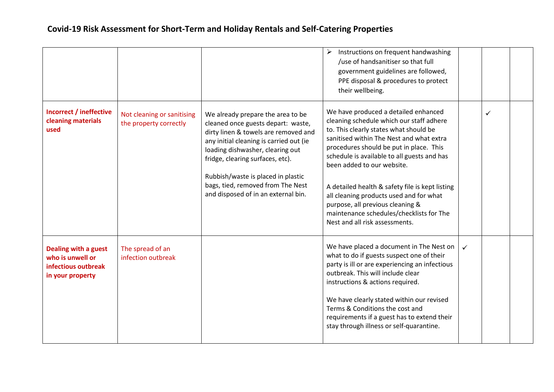|                                                                                            |                                                      |                                                                                                                                                                                                                                                                                                                                                      | Instructions on frequent handwashing<br>/use of handsanitiser so that full<br>government guidelines are followed,<br>PPE disposal & procedures to protect<br>their wellbeing.                                                                                                                                                                                                                                                                                                                                  |              |  |
|--------------------------------------------------------------------------------------------|------------------------------------------------------|------------------------------------------------------------------------------------------------------------------------------------------------------------------------------------------------------------------------------------------------------------------------------------------------------------------------------------------------------|----------------------------------------------------------------------------------------------------------------------------------------------------------------------------------------------------------------------------------------------------------------------------------------------------------------------------------------------------------------------------------------------------------------------------------------------------------------------------------------------------------------|--------------|--|
| <b>Incorrect / ineffective</b><br>cleaning materials<br>used                               | Not cleaning or sanitising<br>the property correctly | We already prepare the area to be<br>cleaned once guests depart: waste,<br>dirty linen & towels are removed and<br>any initial cleaning is carried out (ie<br>loading dishwasher, clearing out<br>fridge, clearing surfaces, etc).<br>Rubbish/waste is placed in plastic<br>bags, tied, removed from The Nest<br>and disposed of in an external bin. | We have produced a detailed enhanced<br>cleaning schedule which our staff adhere<br>to. This clearly states what should be<br>sanitised within The Nest and what extra<br>procedures should be put in place. This<br>schedule is available to all guests and has<br>been added to our website.<br>A detailed health & safety file is kept listing<br>all cleaning products used and for what<br>purpose, all previous cleaning &<br>maintenance schedules/checklists for The<br>Nest and all risk assessments. |              |  |
| <b>Dealing with a guest</b><br>who is unwell or<br>infectious outbreak<br>in your property | The spread of an<br>infection outbreak               |                                                                                                                                                                                                                                                                                                                                                      | We have placed a document in The Nest on<br>what to do if guests suspect one of their<br>party is ill or are experiencing an infectious<br>outbreak. This will include clear<br>instructions & actions required.<br>We have clearly stated within our revised<br>Terms & Conditions the cost and<br>requirements if a guest has to extend their<br>stay through illness or self-quarantine.                                                                                                                    | $\checkmark$ |  |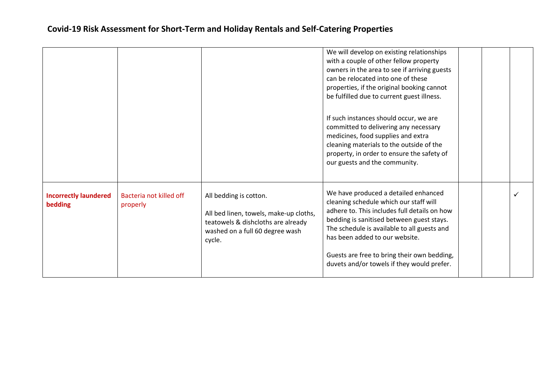|                                         |                                     |                                                                                                                                                     | We will develop on existing relationships<br>with a couple of other fellow property<br>owners in the area to see if arriving guests<br>can be relocated into one of these<br>properties, if the original booking cannot<br>be fulfilled due to current guest illness.<br>If such instances should occur, we are<br>committed to delivering any necessary<br>medicines, food supplies and extra<br>cleaning materials to the outside of the<br>property, in order to ensure the safety of<br>our guests and the community. |  |  |
|-----------------------------------------|-------------------------------------|-----------------------------------------------------------------------------------------------------------------------------------------------------|---------------------------------------------------------------------------------------------------------------------------------------------------------------------------------------------------------------------------------------------------------------------------------------------------------------------------------------------------------------------------------------------------------------------------------------------------------------------------------------------------------------------------|--|--|
| <b>Incorrectly laundered</b><br>bedding | Bacteria not killed off<br>properly | All bedding is cotton.<br>All bed linen, towels, make-up cloths,<br>teatowels & dishcloths are already<br>washed on a full 60 degree wash<br>cycle. | We have produced a detailed enhanced<br>cleaning schedule which our staff will<br>adhere to. This includes full details on how<br>bedding is sanitised between guest stays.<br>The schedule is available to all guests and<br>has been added to our website.<br>Guests are free to bring their own bedding,<br>duvets and/or towels if they would prefer.                                                                                                                                                                 |  |  |